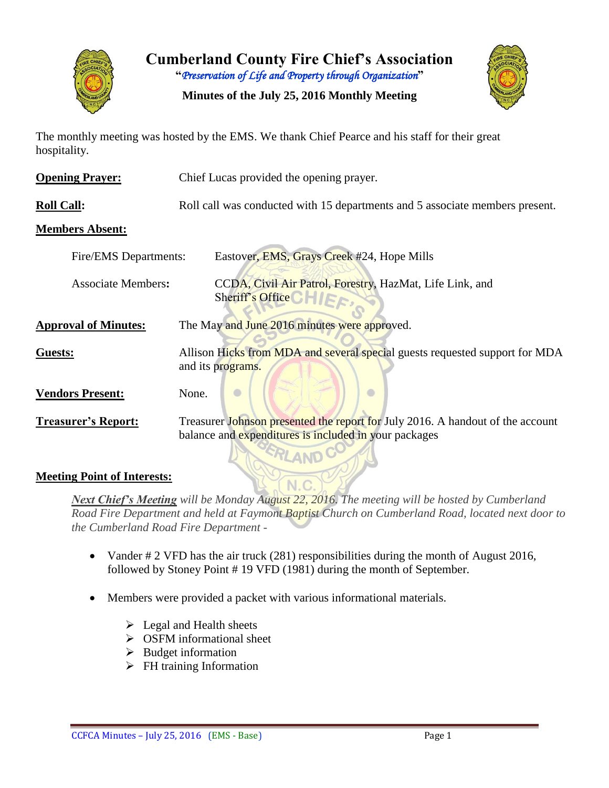

**Cumberland County Fire Chief's Association**

**"***Preservation of Life and Property through Organization***"**

**Minutes of the July 25, 2016 Monthly Meeting**



The monthly meeting was hosted by the EMS. We thank Chief Pearce and his staff for their great hospitality.

| <b>Opening Prayer:</b>      | Chief Lucas provided the opening prayer.                                                                                                |
|-----------------------------|-----------------------------------------------------------------------------------------------------------------------------------------|
| <b>Roll Call:</b>           | Roll call was conducted with 15 departments and 5 associate members present.                                                            |
| <b>Members Absent:</b>      |                                                                                                                                         |
| Fire/EMS Departments:       | Eastover, EMS, Grays Creek #24, Hope Mills                                                                                              |
| <b>Associate Members:</b>   | CCDA, Civil Air Patrol, Forestry, HazMat, Life Link, and<br>Sheriff's Office CHIF                                                       |
| <b>Approval of Minutes:</b> | The May and June 2016 minutes were approved.                                                                                            |
| Guests:                     | Allison Hicks from MDA and several special guests requested support for MDA<br>and its programs.                                        |
| <b>Vendors Present:</b>     | None.                                                                                                                                   |
| <b>Treasurer's Report:</b>  | Treasurer Johnson presented the report for July 2016. A handout of the account<br>balance and expenditures is included in your packages |

#### **Meeting Point of Interests:**

*Next Chief's Meeting will be Monday August 22, 2016. The meeting will be hosted by Cumberland Road Fire Department and held at Faymont Baptist Church on Cumberland Road, located next door to the Cumberland Road Fire Department -*

- Vander # 2 VFD has the air truck (281) responsibilities during the month of August 2016, followed by Stoney Point # 19 VFD (1981) during the month of September.
- Members were provided a packet with various informational materials.
	- $\triangleright$  Legal and Health sheets
	- $\triangleright$  OSFM informational sheet
	- $\triangleright$  Budget information
	- $\triangleright$  FH training Information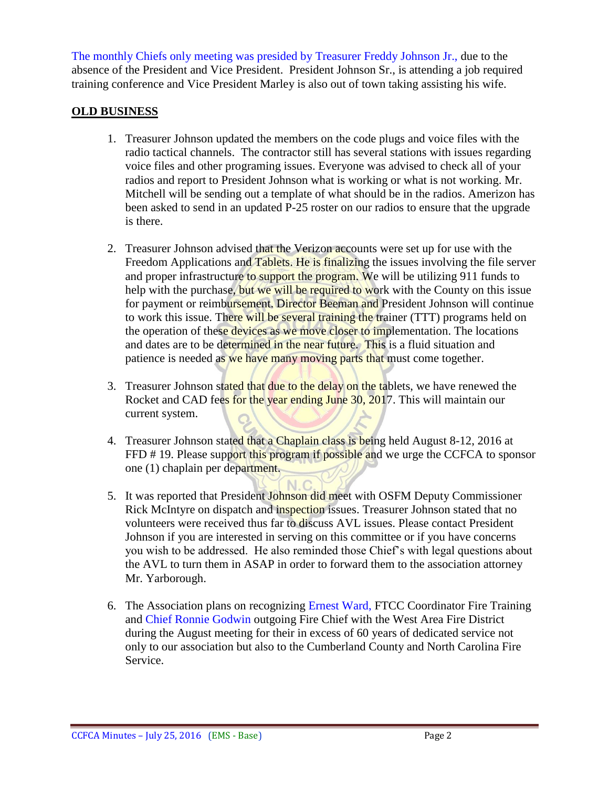The monthly Chiefs only meeting was presided by Treasurer Freddy Johnson Jr., due to the absence of the President and Vice President. President Johnson Sr., is attending a job required training conference and Vice President Marley is also out of town taking assisting his wife.

#### **OLD BUSINESS**

- 1. Treasurer Johnson updated the members on the code plugs and voice files with the radio tactical channels. The contractor still has several stations with issues regarding voice files and other programing issues. Everyone was advised to check all of your radios and report to President Johnson what is working or what is not working. Mr. Mitchell will be sending out a template of what should be in the radios. Amerizon has been asked to send in an updated P-25 roster on our radios to ensure that the upgrade is there.
- 2. Treasurer Johnson advised that the Verizon accounts were set up for use with the Freedom Applications and Tablets. He is finalizing the issues involving the file server and proper infrastructure to support the program. We will be utilizing 911 funds to help with the purchase, but we will be required to work with the County on this issue for payment or reimbursement. Director Beeman and President Johnson will continue to work this issue. There will be several training the trainer (TTT) programs held on the operation of these devices as we move closer to implementation. The locations and dates are to be determined in the near future. This is a fluid situation and patience is needed as we have many moving parts that must come together.
- 3. Treasurer Johnson stated that due to the delay on the tablets, we have renewed the Rocket and CAD fees for the year ending June 30, 2017. This will maintain our current system.
- 4. Treasurer Johnson stated that a Chaplain class is being held August 8-12, 2016 at FFD # 19. Please support this program if possible and we urge the CCFCA to sponsor one (1) chaplain per department.
- $N.C$ 5. It was reported that President Johnson did meet with OSFM Deputy Commissioner Rick McIntyre on dispatch and inspection issues. Treasurer Johnson stated that no volunteers were received thus far to discuss AVL issues. Please contact President Johnson if you are interested in serving on this committee or if you have concerns you wish to be addressed. He also reminded those Chief's with legal questions about the AVL to turn them in ASAP in order to forward them to the association attorney Mr. Yarborough.
- 6. The Association plans on recognizing Ernest Ward, FTCC Coordinator Fire Training and Chief Ronnie Godwin outgoing Fire Chief with the West Area Fire District during the August meeting for their in excess of 60 years of dedicated service not only to our association but also to the Cumberland County and North Carolina Fire Service.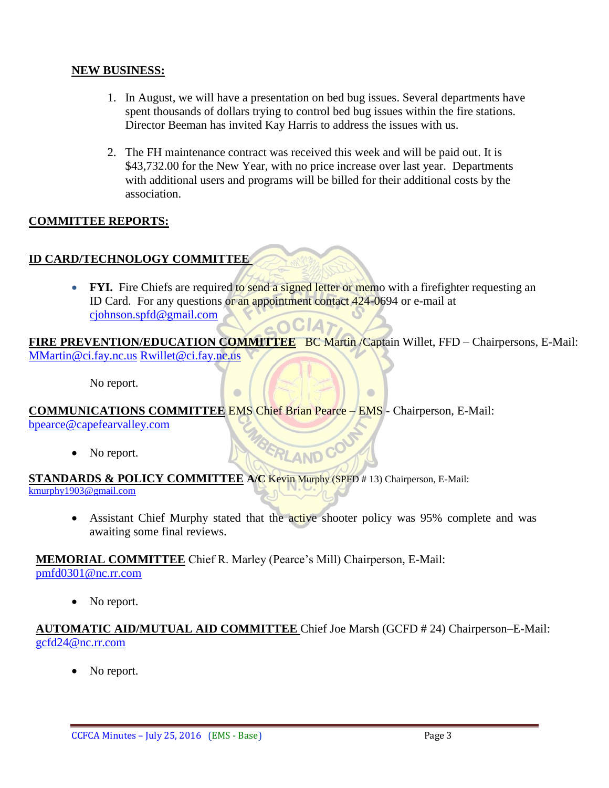#### **NEW BUSINESS:**

- 1. In August, we will have a presentation on bed bug issues. Several departments have spent thousands of dollars trying to control bed bug issues within the fire stations. Director Beeman has invited Kay Harris to address the issues with us.
- 2. The FH maintenance contract was received this week and will be paid out. It is \$43,732.00 for the New Year, with no price increase over last year. Departments with additional users and programs will be billed for their additional costs by the association.

#### **COMMITTEE REPORTS:**

## **ID CARD/TECHNOLOGY COMMITTEE**

• FYI. Fire Chiefs are required to send a signed letter or memo with a firefighter requesting an ID Card. For any questions or an appointment contact 424-0694 or e-mail at [cjohnson.spfd@gmail.com](mailto:cjohnson.spfd@gmail.com)  $\sim$  OCIA

FIRE PREVENTION/EDUCATION COMMITTEE BC Martin /Captain Willet, FFD – Chairpersons, E-Mail: [MMartin@ci.fay.nc.us](mailto:MMartin@ci.fay.nc.us) [Rwillet@ci.fay.nc.us](mailto:Rwillet@ci.fay.nc.us)

 $\blacksquare$ 

No report.

**COMMUNICATIONS COMMITTEE** EMS Chief Brian Pearce – EMS - Chairperson, E-Mail: bpearce@capefearvalley.com MBERLAND COU

 $\Box$ 

• No report.

**STANDARDS & POLICY COMMITTEE A/C** Kevin Murphy (SPFD # 13) Chairperson, E-Mail: [kmurphy1903@gmail.com](mailto:kmurphy1903@gmail.com)

• Assistant Chief Murphy stated that the active shooter policy was 95% complete and was awaiting some final reviews.

**MEMORIAL COMMITTEE** Chief R. Marley (Pearce's Mill) Chairperson, E-Mail: [pmfd0301@nc.rr.com](mailto:pmfd0301@nc.rr.com)

• No report.

#### **AUTOMATIC AID/MUTUAL AID COMMITTEE** Chief Joe Marsh (GCFD # 24) Chairperson–E-Mail: [gcfd24@nc.rr.com](mailto:gcfd24@nc.rr.com)

No report.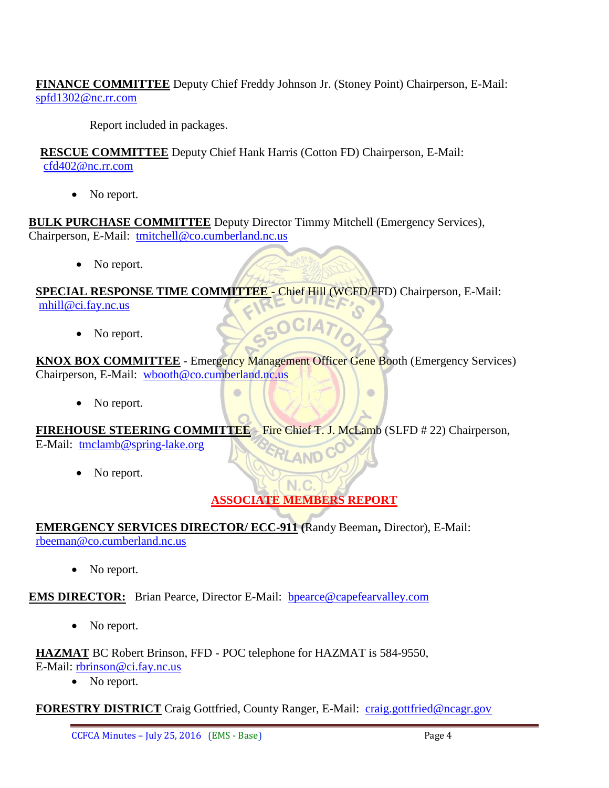**FINANCE COMMITTEE** Deputy Chief Freddy Johnson Jr. (Stoney Point) Chairperson, E-Mail: [spfd1302@nc.rr.com](mailto:spfd1302@nc.rr.com)

Report included in packages.

**RESCUE COMMITTEE** Deputy Chief Hank Harris (Cotton FD) Chairperson, E-Mail: [cfd402@nc.rr.com](mailto:cfd402@nc.rr.com)

• No report.

**BULK PURCHASE COMMITTEE** Deputy Director Timmy Mitchell (Emergency Services), Chairperson, E-Mail: [tmitchell@co.cumberland.nc.us](mailto:tmitchell@co.cumberland.nc.us)

• No report.

**SPECIAL RESPONSE TIME COMMITTEE** - Chief Hill (WCFD/FFD) Chairperson, E-Mail: [mhill@ci.fay.nc.us](mailto:mhill@ci.fay.nc.us)

• No report.

**KNOX BOX COMMITTEE** - Emergency Management Officer Gene Booth (Emergency Services) Chairperson, E-Mail: [wbooth@co.cumberland.nc.us](mailto:wbooth@co.cumberland.nc.us)

GOCIA7

• No report.

**FIREHOUSE STEERING COMMITTEE** – Fire Chief T. J. McLamb (SLFD # 22) Chairperson, E-Mail: [tmclamb@spring-lake.org](mailto:tmclamb@spring-lake.org)

 $\equiv$ 

• No report.

# **ASSOCIATE MEMBERS REPORT**

 $\bullet$ 

**EMERGENCY SERVICES DIRECTOR/ ECC-911 (**Randy Beeman**,** Director), E-Mail: [rbeeman@co.cumberland.nc.us](mailto:rbeeman@co.cumberland.nc.us)

No report.

**EMS DIRECTOR:** Brian Pearce, Director E-Mail: bpearce@capefearvalley.com

• No report.

**HAZMAT** BC Robert Brinson, FFD - POC telephone for HAZMAT is 584-9550,

E-Mail: [rbrinson@ci.fay.nc.us](mailto:rbrinson@ci.fay.nc.us)

• No report.

**FORESTRY DISTRICT** Craig Gottfried, County Ranger, E-Mail: [craig.gottfried@ncagr.gov](mailto:craig.gottfried@ncagr.gov)